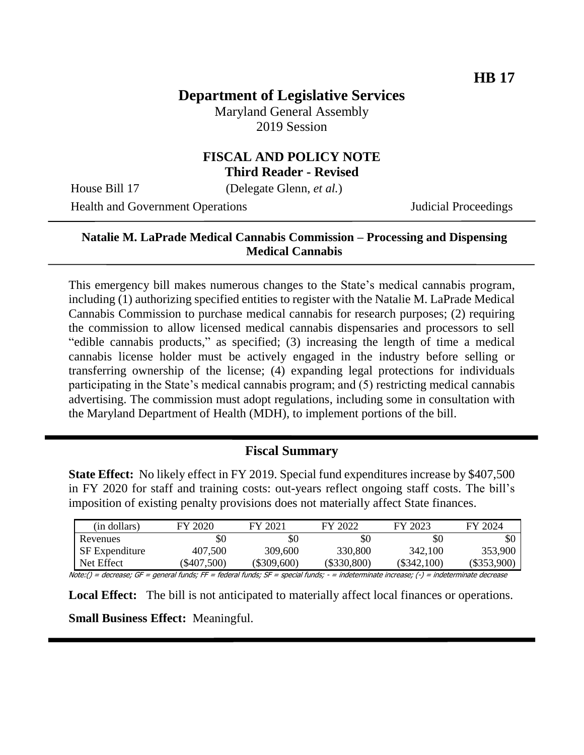# **Department of Legislative Services**

Maryland General Assembly 2019 Session

### **FISCAL AND POLICY NOTE Third Reader - Revised**

House Bill 17 (Delegate Glenn, *et al.*)

Health and Government Operations **Internal Proceedings** Judicial Proceedings

# **Natalie M. LaPrade Medical Cannabis Commission – Processing and Dispensing Medical Cannabis**

This emergency bill makes numerous changes to the State's medical cannabis program, including (1) authorizing specified entities to register with the Natalie M. LaPrade Medical Cannabis Commission to purchase medical cannabis for research purposes; (2) requiring the commission to allow licensed medical cannabis dispensaries and processors to sell "edible cannabis products," as specified; (3) increasing the length of time a medical cannabis license holder must be actively engaged in the industry before selling or transferring ownership of the license; (4) expanding legal protections for individuals participating in the State's medical cannabis program; and (5) restricting medical cannabis advertising. The commission must adopt regulations, including some in consultation with the Maryland Department of Health (MDH), to implement portions of the bill.

# **Fiscal Summary**

**State Effect:** No likely effect in FY 2019. Special fund expenditures increase by \$407,500 in FY 2020 for staff and training costs: out-years reflect ongoing staff costs. The bill's imposition of existing penalty provisions does not materially affect State finances.

| (in dollars)          | FY 2020   | FY 2021     | FY 2022       | FY 2023     | FY 2024       |
|-----------------------|-----------|-------------|---------------|-------------|---------------|
| Revenues              | \$0       | \$0         | \$0           | \$0         | SC            |
| <b>SF</b> Expenditure | 407,500   | 309,600     | 330,800       | 342,100     | 353,900       |
| Net Effect            | \$407,500 | (\$309,600) | $(\$330,800)$ | (\$342.100) | $(\$353,900)$ |

Note:() = decrease; GF = general funds; FF = federal funds; SF = special funds; - = indeterminate increase; (-) = indeterminate decrease

**Local Effect:** The bill is not anticipated to materially affect local finances or operations.

**Small Business Effect:** Meaningful.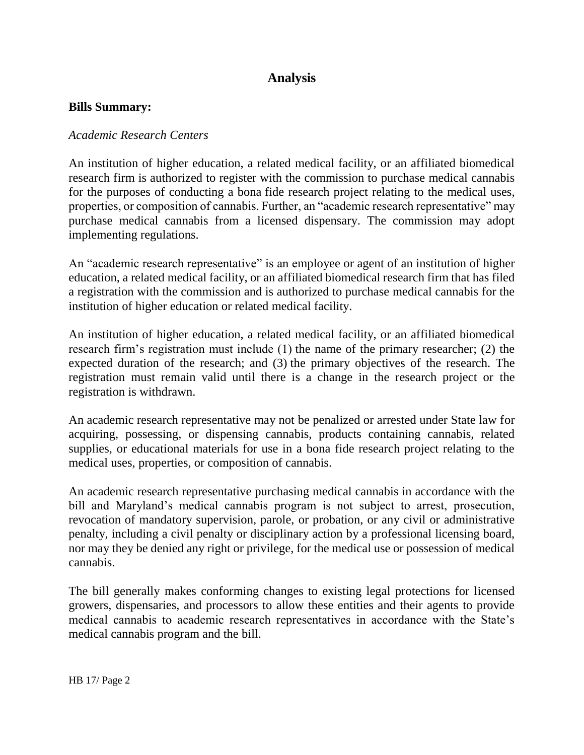# **Analysis**

#### **Bills Summary:**

#### *Academic Research Centers*

An institution of higher education, a related medical facility, or an affiliated biomedical research firm is authorized to register with the commission to purchase medical cannabis for the purposes of conducting a bona fide research project relating to the medical uses, properties, or composition of cannabis. Further, an "academic research representative" may purchase medical cannabis from a licensed dispensary. The commission may adopt implementing regulations.

An "academic research representative" is an employee or agent of an institution of higher education, a related medical facility, or an affiliated biomedical research firm that has filed a registration with the commission and is authorized to purchase medical cannabis for the institution of higher education or related medical facility.

An institution of higher education, a related medical facility, or an affiliated biomedical research firm's registration must include (1) the name of the primary researcher; (2) the expected duration of the research; and (3) the primary objectives of the research. The registration must remain valid until there is a change in the research project or the registration is withdrawn.

An academic research representative may not be penalized or arrested under State law for acquiring, possessing, or dispensing cannabis, products containing cannabis, related supplies, or educational materials for use in a bona fide research project relating to the medical uses, properties, or composition of cannabis.

An academic research representative purchasing medical cannabis in accordance with the bill and Maryland's medical cannabis program is not subject to arrest, prosecution, revocation of mandatory supervision, parole, or probation, or any civil or administrative penalty, including a civil penalty or disciplinary action by a professional licensing board, nor may they be denied any right or privilege, for the medical use or possession of medical cannabis.

The bill generally makes conforming changes to existing legal protections for licensed growers, dispensaries, and processors to allow these entities and their agents to provide medical cannabis to academic research representatives in accordance with the State's medical cannabis program and the bill.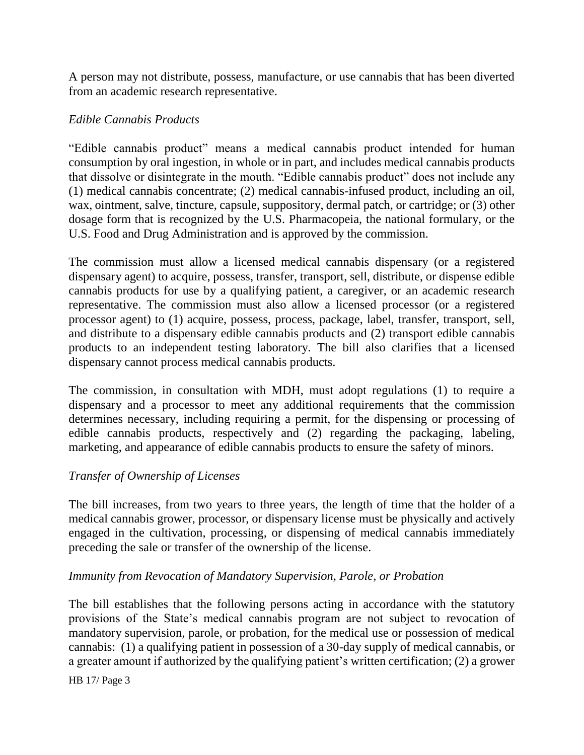A person may not distribute, possess, manufacture, or use cannabis that has been diverted from an academic research representative.

# *Edible Cannabis Products*

"Edible cannabis product" means a medical cannabis product intended for human consumption by oral ingestion, in whole or in part, and includes medical cannabis products that dissolve or disintegrate in the mouth. "Edible cannabis product" does not include any (1) medical cannabis concentrate; (2) medical cannabis-infused product, including an oil, wax, ointment, salve, tincture, capsule, suppository, dermal patch, or cartridge; or (3) other dosage form that is recognized by the U.S. Pharmacopeia, the national formulary, or the U.S. Food and Drug Administration and is approved by the commission.

The commission must allow a licensed medical cannabis dispensary (or a registered dispensary agent) to acquire, possess, transfer, transport, sell, distribute, or dispense edible cannabis products for use by a qualifying patient, a caregiver, or an academic research representative. The commission must also allow a licensed processor (or a registered processor agent) to (1) acquire, possess, process, package, label, transfer, transport, sell, and distribute to a dispensary edible cannabis products and (2) transport edible cannabis products to an independent testing laboratory. The bill also clarifies that a licensed dispensary cannot process medical cannabis products.

The commission, in consultation with MDH, must adopt regulations (1) to require a dispensary and a processor to meet any additional requirements that the commission determines necessary, including requiring a permit, for the dispensing or processing of edible cannabis products, respectively and (2) regarding the packaging, labeling, marketing, and appearance of edible cannabis products to ensure the safety of minors.

# *Transfer of Ownership of Licenses*

The bill increases, from two years to three years, the length of time that the holder of a medical cannabis grower, processor, or dispensary license must be physically and actively engaged in the cultivation, processing, or dispensing of medical cannabis immediately preceding the sale or transfer of the ownership of the license.

# *Immunity from Revocation of Mandatory Supervision, Parole, or Probation*

The bill establishes that the following persons acting in accordance with the statutory provisions of the State's medical cannabis program are not subject to revocation of mandatory supervision, parole, or probation, for the medical use or possession of medical cannabis: (1) a qualifying patient in possession of a 30-day supply of medical cannabis, or a greater amount if authorized by the qualifying patient's written certification; (2) a grower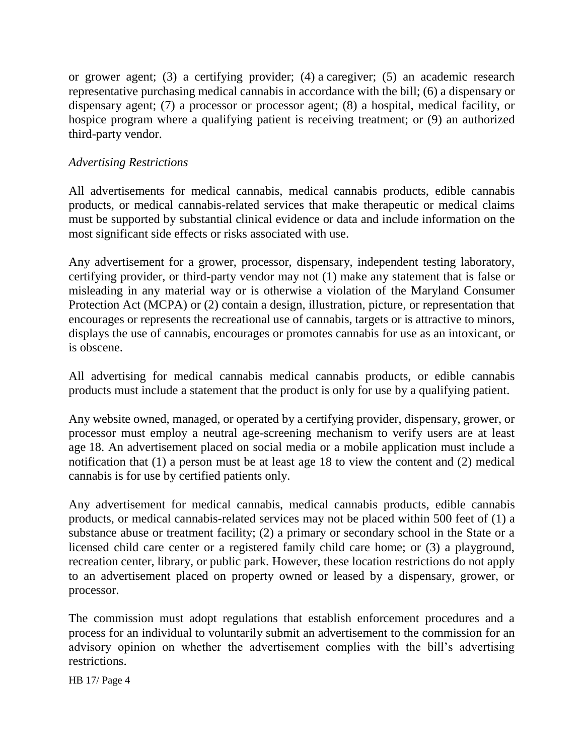or grower agent; (3) a certifying provider; (4) a caregiver; (5) an academic research representative purchasing medical cannabis in accordance with the bill; (6) a dispensary or dispensary agent; (7) a processor or processor agent; (8) a hospital, medical facility, or hospice program where a qualifying patient is receiving treatment; or (9) an authorized third-party vendor.

#### *Advertising Restrictions*

All advertisements for medical cannabis, medical cannabis products, edible cannabis products, or medical cannabis-related services that make therapeutic or medical claims must be supported by substantial clinical evidence or data and include information on the most significant side effects or risks associated with use.

Any advertisement for a grower, processor, dispensary, independent testing laboratory, certifying provider, or third-party vendor may not (1) make any statement that is false or misleading in any material way or is otherwise a violation of the Maryland Consumer Protection Act (MCPA) or (2) contain a design, illustration, picture, or representation that encourages or represents the recreational use of cannabis, targets or is attractive to minors, displays the use of cannabis, encourages or promotes cannabis for use as an intoxicant, or is obscene.

All advertising for medical cannabis medical cannabis products, or edible cannabis products must include a statement that the product is only for use by a qualifying patient.

Any website owned, managed, or operated by a certifying provider, dispensary, grower, or processor must employ a neutral age-screening mechanism to verify users are at least age 18. An advertisement placed on social media or a mobile application must include a notification that (1) a person must be at least age 18 to view the content and (2) medical cannabis is for use by certified patients only.

Any advertisement for medical cannabis, medical cannabis products, edible cannabis products, or medical cannabis-related services may not be placed within 500 feet of (1) a substance abuse or treatment facility; (2) a primary or secondary school in the State or a licensed child care center or a registered family child care home; or (3) a playground, recreation center, library, or public park. However, these location restrictions do not apply to an advertisement placed on property owned or leased by a dispensary, grower, or processor.

The commission must adopt regulations that establish enforcement procedures and a process for an individual to voluntarily submit an advertisement to the commission for an advisory opinion on whether the advertisement complies with the bill's advertising restrictions.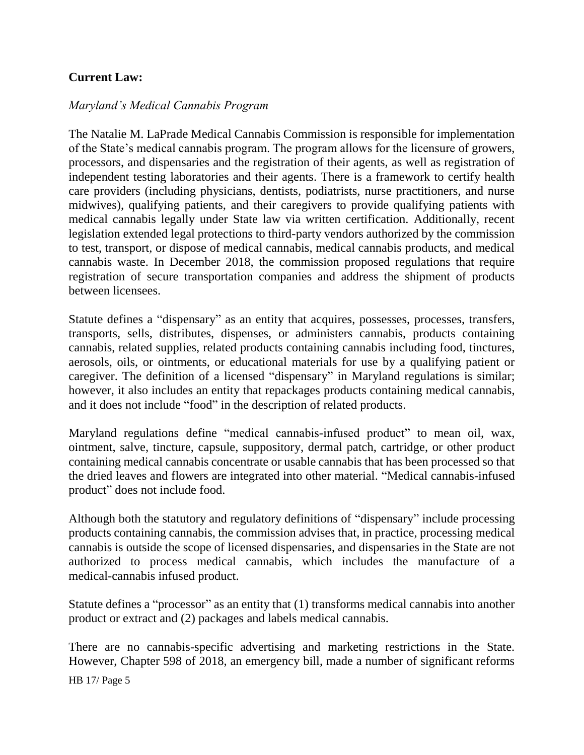# **Current Law:**

### *Maryland's Medical Cannabis Program*

The Natalie M. LaPrade Medical Cannabis Commission is responsible for implementation of the State's medical cannabis program. The program allows for the licensure of growers, processors, and dispensaries and the registration of their agents, as well as registration of independent testing laboratories and their agents. There is a framework to certify health care providers (including physicians, dentists, podiatrists, nurse practitioners, and nurse midwives), qualifying patients, and their caregivers to provide qualifying patients with medical cannabis legally under State law via written certification. Additionally, recent legislation extended legal protections to third-party vendors authorized by the commission to test, transport, or dispose of medical cannabis, medical cannabis products, and medical cannabis waste. In December 2018, the commission proposed regulations that require registration of secure transportation companies and address the shipment of products between licensees.

Statute defines a "dispensary" as an entity that acquires, possesses, processes, transfers, transports, sells, distributes, dispenses, or administers cannabis, products containing cannabis, related supplies, related products containing cannabis including food, tinctures, aerosols, oils, or ointments, or educational materials for use by a qualifying patient or caregiver. The definition of a licensed "dispensary" in Maryland regulations is similar; however, it also includes an entity that repackages products containing medical cannabis, and it does not include "food" in the description of related products.

Maryland regulations define "medical cannabis-infused product" to mean oil, wax, ointment, salve, tincture, capsule, suppository, dermal patch, cartridge, or other product containing medical cannabis concentrate or usable cannabis that has been processed so that the dried leaves and flowers are integrated into other material. "Medical cannabis-infused product" does not include food.

Although both the statutory and regulatory definitions of "dispensary" include processing products containing cannabis, the commission advises that, in practice, processing medical cannabis is outside the scope of licensed dispensaries, and dispensaries in the State are not authorized to process medical cannabis, which includes the manufacture of a medical-cannabis infused product.

Statute defines a "processor" as an entity that (1) transforms medical cannabis into another product or extract and (2) packages and labels medical cannabis.

There are no cannabis-specific advertising and marketing restrictions in the State. However, Chapter 598 of 2018, an emergency bill, made a number of significant reforms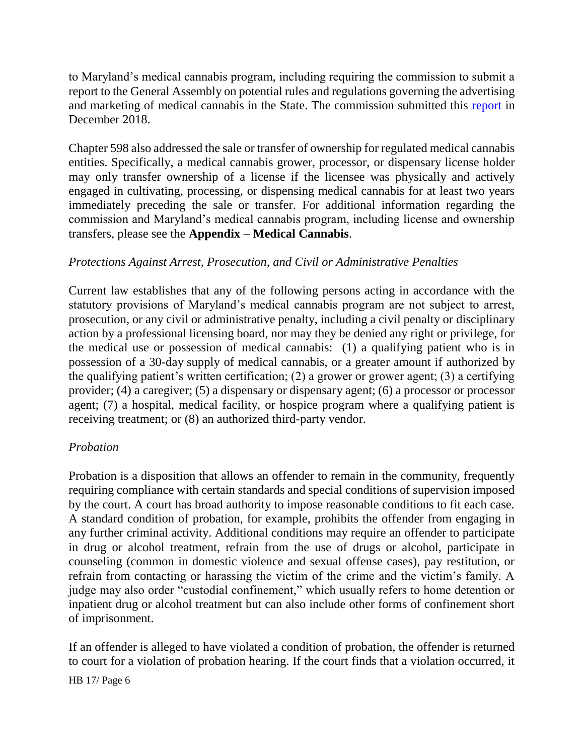to Maryland's medical cannabis program, including requiring the commission to submit a report to the General Assembly on potential rules and regulations governing the advertising and marketing of medical cannabis in the State. The commission submitted this [report](https://mmcc.maryland.gov/Documents/01.15.2019%202018%20Advertising%20Legislative%20Report%20on%20Medical%20Cannabis%20Advertising%20and%20Marketing%20Regulations.pdf) in December 2018.

Chapter 598 also addressed the sale or transfer of ownership for regulated medical cannabis entities. Specifically, a medical cannabis grower, processor, or dispensary license holder may only transfer ownership of a license if the licensee was physically and actively engaged in cultivating, processing, or dispensing medical cannabis for at least two years immediately preceding the sale or transfer. For additional information regarding the commission and Maryland's medical cannabis program, including license and ownership transfers, please see the **Appendix – Medical Cannabis**.

# *Protections Against Arrest, Prosecution, and Civil or Administrative Penalties*

Current law establishes that any of the following persons acting in accordance with the statutory provisions of Maryland's medical cannabis program are not subject to arrest, prosecution, or any civil or administrative penalty, including a civil penalty or disciplinary action by a professional licensing board, nor may they be denied any right or privilege, for the medical use or possession of medical cannabis: (1) a qualifying patient who is in possession of a 30-day supply of medical cannabis, or a greater amount if authorized by the qualifying patient's written certification; (2) a grower or grower agent; (3) a certifying provider; (4) a caregiver; (5) a dispensary or dispensary agent; (6) a processor or processor agent; (7) a hospital, medical facility, or hospice program where a qualifying patient is receiving treatment; or (8) an authorized third-party vendor.

# *Probation*

Probation is a disposition that allows an offender to remain in the community, frequently requiring compliance with certain standards and special conditions of supervision imposed by the court. A court has broad authority to impose reasonable conditions to fit each case. A standard condition of probation, for example, prohibits the offender from engaging in any further criminal activity. Additional conditions may require an offender to participate in drug or alcohol treatment, refrain from the use of drugs or alcohol, participate in counseling (common in domestic violence and sexual offense cases), pay restitution, or refrain from contacting or harassing the victim of the crime and the victim's family. A judge may also order "custodial confinement," which usually refers to home detention or inpatient drug or alcohol treatment but can also include other forms of confinement short of imprisonment.

If an offender is alleged to have violated a condition of probation, the offender is returned to court for a violation of probation hearing. If the court finds that a violation occurred, it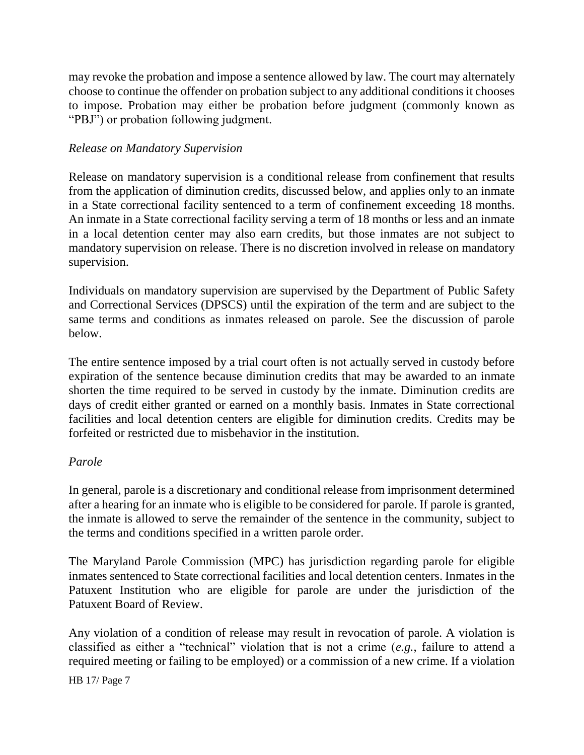may revoke the probation and impose a sentence allowed by law. The court may alternately choose to continue the offender on probation subject to any additional conditions it chooses to impose. Probation may either be probation before judgment (commonly known as "PBJ") or probation following judgment.

# *Release on Mandatory Supervision*

Release on mandatory supervision is a conditional release from confinement that results from the application of diminution credits, discussed below, and applies only to an inmate in a State correctional facility sentenced to a term of confinement exceeding 18 months. An inmate in a State correctional facility serving a term of 18 months or less and an inmate in a local detention center may also earn credits, but those inmates are not subject to mandatory supervision on release. There is no discretion involved in release on mandatory supervision.

Individuals on mandatory supervision are supervised by the Department of Public Safety and Correctional Services (DPSCS) until the expiration of the term and are subject to the same terms and conditions as inmates released on parole. See the discussion of parole below.

The entire sentence imposed by a trial court often is not actually served in custody before expiration of the sentence because diminution credits that may be awarded to an inmate shorten the time required to be served in custody by the inmate. Diminution credits are days of credit either granted or earned on a monthly basis. Inmates in State correctional facilities and local detention centers are eligible for diminution credits. Credits may be forfeited or restricted due to misbehavior in the institution.

#### *Parole*

In general, parole is a discretionary and conditional release from imprisonment determined after a hearing for an inmate who is eligible to be considered for parole. If parole is granted, the inmate is allowed to serve the remainder of the sentence in the community, subject to the terms and conditions specified in a written parole order.

The Maryland Parole Commission (MPC) has jurisdiction regarding parole for eligible inmates sentenced to State correctional facilities and local detention centers. Inmates in the Patuxent Institution who are eligible for parole are under the jurisdiction of the Patuxent Board of Review.

Any violation of a condition of release may result in revocation of parole. A violation is classified as either a "technical" violation that is not a crime (*e.g.*, failure to attend a required meeting or failing to be employed) or a commission of a new crime. If a violation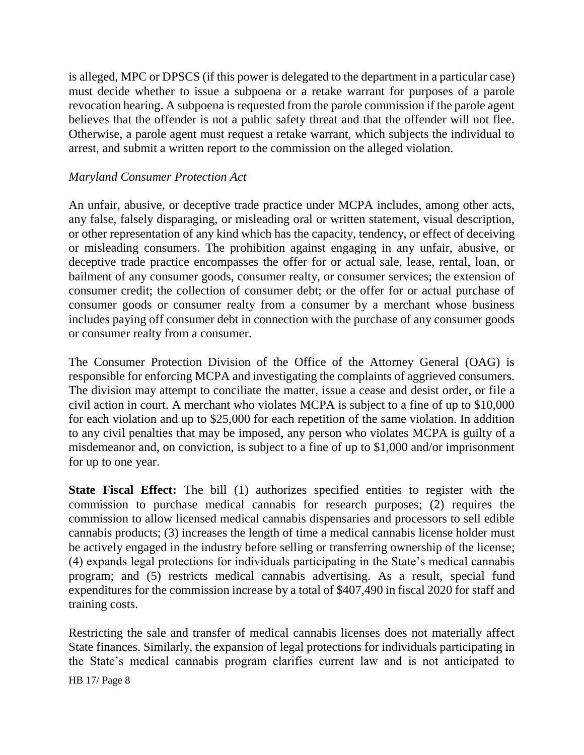is alleged, MPC or DPSCS (if this power is delegated to the department in a particular case) must decide whether to issue a subpoena or a retake warrant for purposes of a parole revocation hearing. A subpoena is requested from the parole commission if the parole agent believes that the offender is not a public safety threat and that the offender will not flee. Otherwise, a parole agent must request a retake warrant, which subjects the individual to arrest, and submit a written report to the commission on the alleged violation.

### *Maryland Consumer Protection Act*

An unfair, abusive, or deceptive trade practice under MCPA includes, among other acts, any false, falsely disparaging, or misleading oral or written statement, visual description, or other representation of any kind which has the capacity, tendency, or effect of deceiving or misleading consumers. The prohibition against engaging in any unfair, abusive, or deceptive trade practice encompasses the offer for or actual sale, lease, rental, loan, or bailment of any consumer goods, consumer realty, or consumer services; the extension of consumer credit; the collection of consumer debt; or the offer for or actual purchase of consumer goods or consumer realty from a consumer by a merchant whose business includes paying off consumer debt in connection with the purchase of any consumer goods or consumer realty from a consumer.

The Consumer Protection Division of the Office of the Attorney General (OAG) is responsible for enforcing MCPA and investigating the complaints of aggrieved consumers. The division may attempt to conciliate the matter, issue a cease and desist order, or file a civil action in court. A merchant who violates MCPA is subject to a fine of up to \$10,000 for each violation and up to \$25,000 for each repetition of the same violation. In addition to any civil penalties that may be imposed, any person who violates MCPA is guilty of a misdemeanor and, on conviction, is subject to a fine of up to \$1,000 and/or imprisonment for up to one year.

**State Fiscal Effect:** The bill (1) authorizes specified entities to register with the commission to purchase medical cannabis for research purposes; (2) requires the commission to allow licensed medical cannabis dispensaries and processors to sell edible cannabis products; (3) increases the length of time a medical cannabis license holder must be actively engaged in the industry before selling or transferring ownership of the license; (4) expands legal protections for individuals participating in the State's medical cannabis program; and (5) restricts medical cannabis advertising. As a result, special fund expenditures for the commission increase by a total of \$407,490 in fiscal 2020 for staff and training costs.

Restricting the sale and transfer of medical cannabis licenses does not materially affect State finances. Similarly, the expansion of legal protections for individuals participating in the State's medical cannabis program clarifies current law and is not anticipated to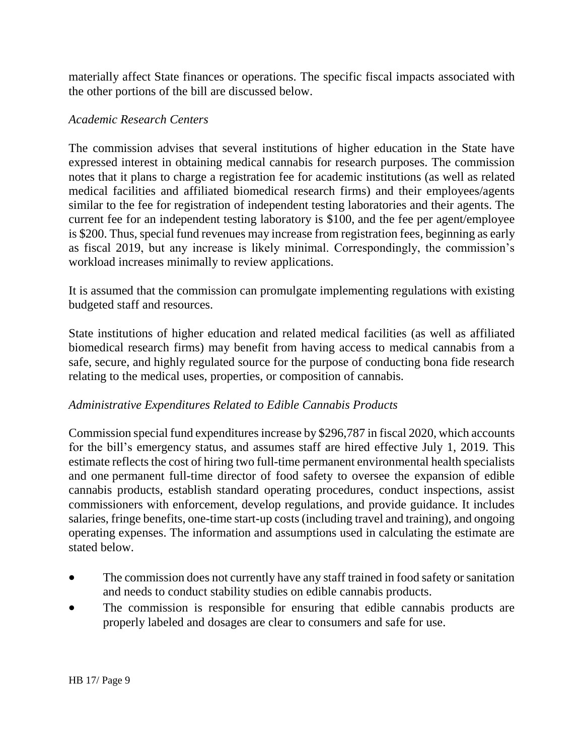materially affect State finances or operations. The specific fiscal impacts associated with the other portions of the bill are discussed below.

# *Academic Research Centers*

The commission advises that several institutions of higher education in the State have expressed interest in obtaining medical cannabis for research purposes. The commission notes that it plans to charge a registration fee for academic institutions (as well as related medical facilities and affiliated biomedical research firms) and their employees/agents similar to the fee for registration of independent testing laboratories and their agents. The current fee for an independent testing laboratory is \$100, and the fee per agent/employee is \$200. Thus, special fund revenues may increase from registration fees, beginning as early as fiscal 2019, but any increase is likely minimal. Correspondingly, the commission's workload increases minimally to review applications.

It is assumed that the commission can promulgate implementing regulations with existing budgeted staff and resources.

State institutions of higher education and related medical facilities (as well as affiliated biomedical research firms) may benefit from having access to medical cannabis from a safe, secure, and highly regulated source for the purpose of conducting bona fide research relating to the medical uses, properties, or composition of cannabis.

# *Administrative Expenditures Related to Edible Cannabis Products*

Commission special fund expenditures increase by \$296,787 in fiscal 2020, which accounts for the bill's emergency status, and assumes staff are hired effective July 1, 2019. This estimate reflects the cost of hiring two full-time permanent environmental health specialists and one permanent full-time director of food safety to oversee the expansion of edible cannabis products, establish standard operating procedures, conduct inspections, assist commissioners with enforcement, develop regulations, and provide guidance. It includes salaries, fringe benefits, one-time start-up costs (including travel and training), and ongoing operating expenses. The information and assumptions used in calculating the estimate are stated below.

- The commission does not currently have any staff trained in food safety or sanitation and needs to conduct stability studies on edible cannabis products.
- The commission is responsible for ensuring that edible cannabis products are properly labeled and dosages are clear to consumers and safe for use.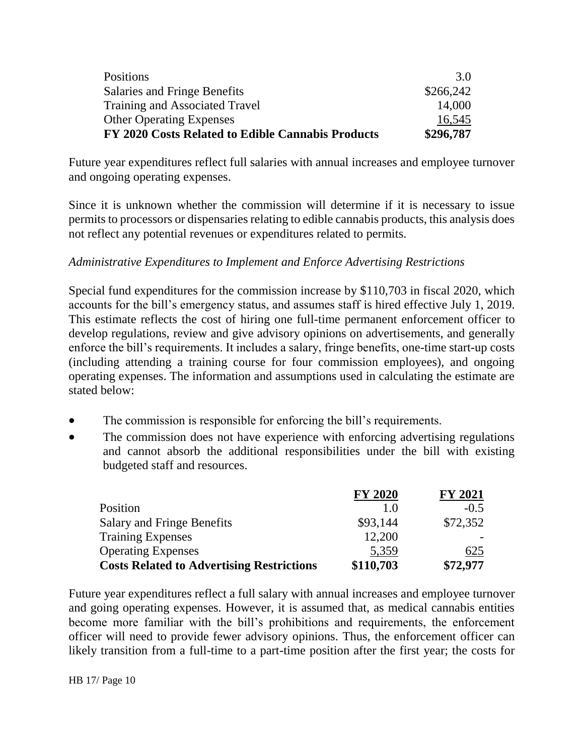| FY 2020 Costs Related to Edible Cannabis Products | \$296,787 |
|---------------------------------------------------|-----------|
| <b>Other Operating Expenses</b>                   | 16,545    |
| <b>Training and Associated Travel</b>             | 14,000    |
| <b>Salaries and Fringe Benefits</b>               | \$266,242 |
| Positions                                         | 3.0       |
|                                                   |           |

Future year expenditures reflect full salaries with annual increases and employee turnover and ongoing operating expenses.

Since it is unknown whether the commission will determine if it is necessary to issue permits to processors or dispensaries relating to edible cannabis products, this analysis does not reflect any potential revenues or expenditures related to permits.

# *Administrative Expenditures to Implement and Enforce Advertising Restrictions*

Special fund expenditures for the commission increase by \$110,703 in fiscal 2020, which accounts for the bill's emergency status, and assumes staff is hired effective July 1, 2019. This estimate reflects the cost of hiring one full-time permanent enforcement officer to develop regulations, review and give advisory opinions on advertisements, and generally enforce the bill's requirements. It includes a salary, fringe benefits, one-time start-up costs (including attending a training course for four commission employees), and ongoing operating expenses. The information and assumptions used in calculating the estimate are stated below:

- The commission is responsible for enforcing the bill's requirements.
- The commission does not have experience with enforcing advertising regulations and cannot absorb the additional responsibilities under the bill with existing budgeted staff and resources.

|                                                  | <b>FY 2020</b> | <b>FY 2021</b> |
|--------------------------------------------------|----------------|----------------|
| Position                                         |                | $-0.5$         |
| <b>Salary and Fringe Benefits</b>                | \$93,144       | \$72,352       |
| <b>Training Expenses</b>                         | 12,200         |                |
| <b>Operating Expenses</b>                        | 5,359          | 625            |
| <b>Costs Related to Advertising Restrictions</b> | \$110,703      | \$72,977       |

Future year expenditures reflect a full salary with annual increases and employee turnover and going operating expenses. However, it is assumed that, as medical cannabis entities become more familiar with the bill's prohibitions and requirements, the enforcement officer will need to provide fewer advisory opinions. Thus, the enforcement officer can likely transition from a full-time to a part-time position after the first year; the costs for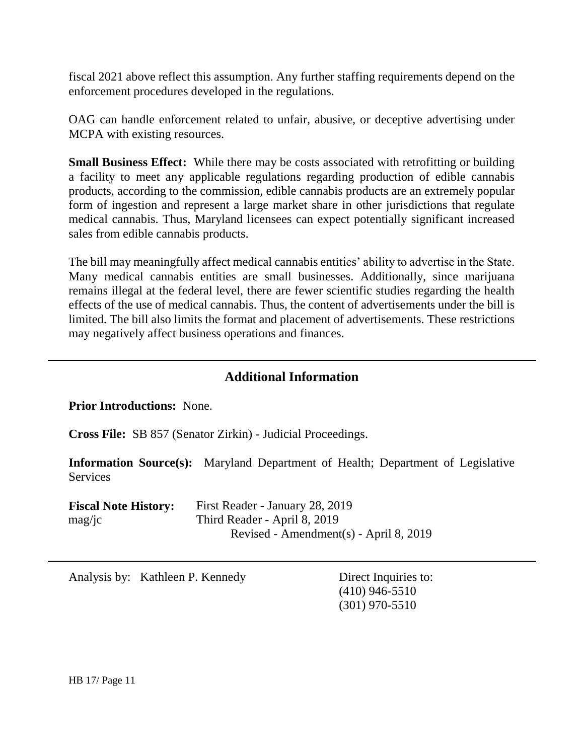fiscal 2021 above reflect this assumption. Any further staffing requirements depend on the enforcement procedures developed in the regulations.

OAG can handle enforcement related to unfair, abusive, or deceptive advertising under MCPA with existing resources.

**Small Business Effect:** While there may be costs associated with retrofitting or building a facility to meet any applicable regulations regarding production of edible cannabis products, according to the commission, edible cannabis products are an extremely popular form of ingestion and represent a large market share in other jurisdictions that regulate medical cannabis. Thus, Maryland licensees can expect potentially significant increased sales from edible cannabis products.

The bill may meaningfully affect medical cannabis entities' ability to advertise in the State. Many medical cannabis entities are small businesses. Additionally, since marijuana remains illegal at the federal level, there are fewer scientific studies regarding the health effects of the use of medical cannabis. Thus, the content of advertisements under the bill is limited. The bill also limits the format and placement of advertisements. These restrictions may negatively affect business operations and finances.

# **Additional Information**

**Prior Introductions:** None.

**Cross File:** SB 857 (Senator Zirkin) - Judicial Proceedings.

**Information Source(s):** Maryland Department of Health; Department of Legislative Services

| <b>Fiscal Note History:</b> | First Reader - January 28, 2019        |
|-----------------------------|----------------------------------------|
| $\text{mag}/\text{jc}$      | Third Reader - April 8, 2019           |
|                             | Revised - Amendment(s) - April 8, 2019 |

Analysis by: Kathleen P. Kennedy Direct Inquiries to:

(410) 946-5510 (301) 970-5510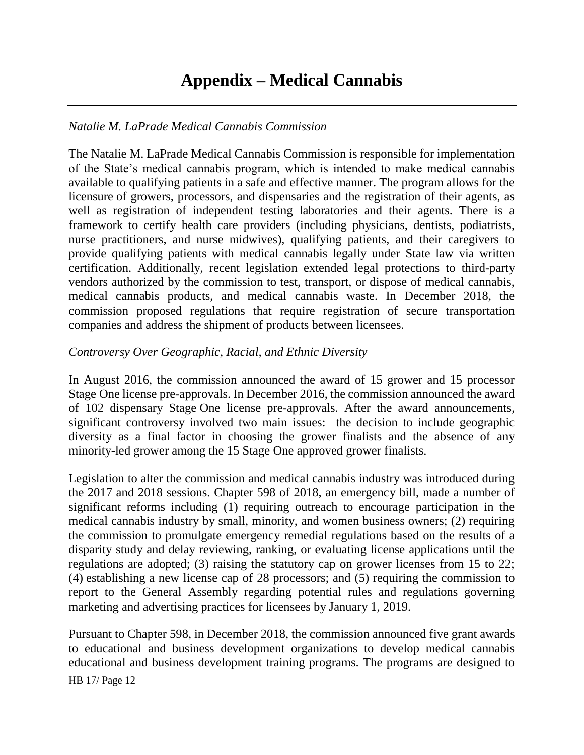# **Appendix – Medical Cannabis**

## *Natalie M. LaPrade Medical Cannabis Commission*

The Natalie M. LaPrade Medical Cannabis Commission is responsible for implementation of the State's medical cannabis program, which is intended to make medical cannabis available to qualifying patients in a safe and effective manner. The program allows for the licensure of growers, processors, and dispensaries and the registration of their agents, as well as registration of independent testing laboratories and their agents. There is a framework to certify health care providers (including physicians, dentists, podiatrists, nurse practitioners, and nurse midwives), qualifying patients, and their caregivers to provide qualifying patients with medical cannabis legally under State law via written certification. Additionally, recent legislation extended legal protections to third-party vendors authorized by the commission to test, transport, or dispose of medical cannabis, medical cannabis products, and medical cannabis waste. In December 2018, the commission proposed regulations that require registration of secure transportation companies and address the shipment of products between licensees.

### *Controversy Over Geographic, Racial, and Ethnic Diversity*

In August 2016, the commission announced the award of 15 grower and 15 processor Stage One license pre-approvals. In December 2016, the commission announced the award of 102 dispensary Stage One license pre-approvals. After the award announcements, significant controversy involved two main issues: the decision to include geographic diversity as a final factor in choosing the grower finalists and the absence of any minority-led grower among the 15 Stage One approved grower finalists.

Legislation to alter the commission and medical cannabis industry was introduced during the 2017 and 2018 sessions. Chapter 598 of 2018, an emergency bill, made a number of significant reforms including (1) requiring outreach to encourage participation in the medical cannabis industry by small, minority, and women business owners; (2) requiring the commission to promulgate emergency remedial regulations based on the results of a disparity study and delay reviewing, ranking, or evaluating license applications until the regulations are adopted; (3) raising the statutory cap on grower licenses from 15 to 22; (4) establishing a new license cap of 28 processors; and (5) requiring the commission to report to the General Assembly regarding potential rules and regulations governing marketing and advertising practices for licensees by January 1, 2019.

Pursuant to Chapter 598, in December 2018, the commission announced five grant awards to educational and business development organizations to develop medical cannabis educational and business development training programs. The programs are designed to